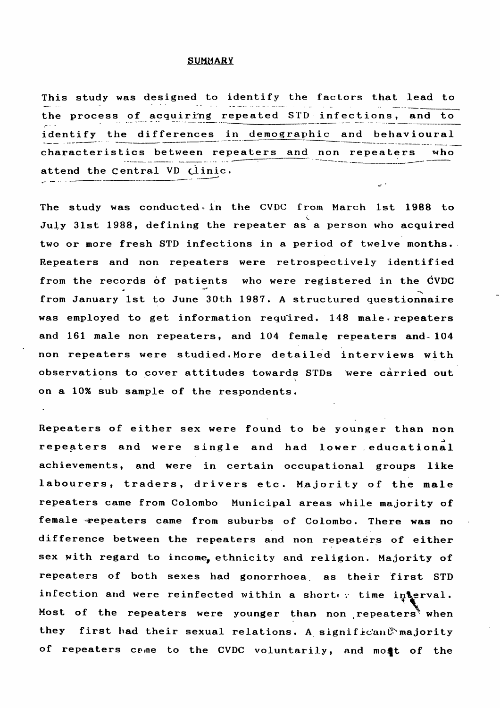## **SUMMARY**

**This study was designed to identify the factors that lead to the process of acquiring repeated STD infections, and to identify the differences in demographic and behavioural characteristics between repeaters and non repeaters who attend the Central VD clinic.**

The study was conducted in the CVDC from March 1st 1988 to V. **July 31st 1988, defining the repeater as a person who acquired two or more fresh STD infections in a period of twelve months. Repeaters and non repeaters were retrospectively identified from the records of patients who were registered in the CVDC** *\** **X from January 1st to June 30th 1987. A structured questionnaire** was employed to get information required. 148 male repeaters and 161 male non repeaters, and 104 female repeaters and-104 **non repeaters were studied.More detailed interviews with observations to cover attitudes towards STDs were carried out** • • *\*

**repeaters of both sexes had gonorrhoea, as their first STD** infection and were reinfected within a shorter time in perval. Most of the repeaters were younger than non repeaters<sup>\*</sup> when they first had their sexual relations. A significant majority of repeaters came to the CVDC voluntarily, and most of the

**on a 10% sub sample of the respondents.**

**Repeaters of either sex were found to be younger than non repeaters and were single and had lower educational achievements, and were in certain occupational groups like labourers, traders, drivers etc. Majority of the male repeaters came from Colombo Municipal areas while majority of female -repeaters came from suburbs of Colombo. There was no difference between the repeaters and non repeaters of either sex with regard to income, ethnicity and religion. Majority of**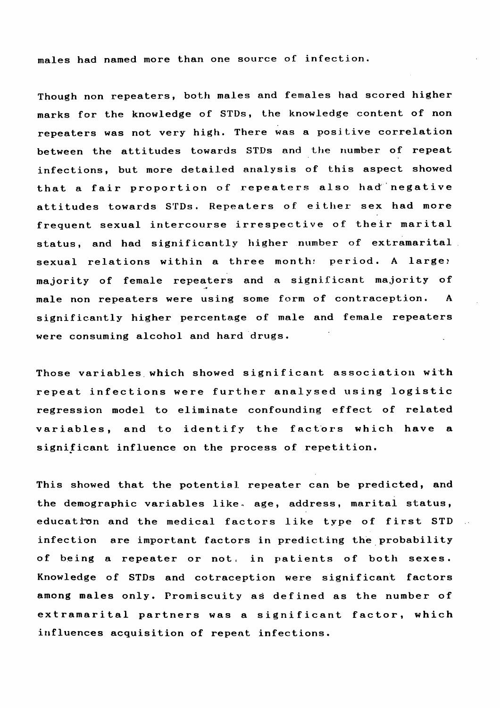males had named more than one source of infection.

**Though non repeaters, both males and females had scored higher marks for the knowledge of STDs, the knowledge content of non repeaters was not very high. There was a positive correlation between the attitudes towards STDs and the number of repeat infections, but more detailed analysis of this aspect showed** that a fair proportion of repeaters also had negative **attitudes towards STDs. Repeaters of either sex had more frequent sexual intercourse irrespective of their marital status, and had significantly higher number of extramarital sexual relations within a three month: period. A large? majority of female repeaters and a significant majority of male non repeaters were using some form of contraception. A significantly higher percentage of male and female repeaters were consuming alcohol and hard drugs.**

Those variables which showed significant association with

**This showed that the potential repeater can be predicted, and the demographic variables like, age, address, marital status, education and the medical factors like type of first STD infection are important factors in predicting the probability** of being a repeater or not, in patients of both sexes.

**repeat infections were further analysed using logistic regression model to eliminate confounding effect of related** variables, and to identify the factors which have a **significant influence on the process of repetition.**

**Knowledge of STDs and cotraception were significant factors among males only. Promiscuity as defined as the number of** extramarital partners was a significant factor, which **influences acquisition of repeat infections.**